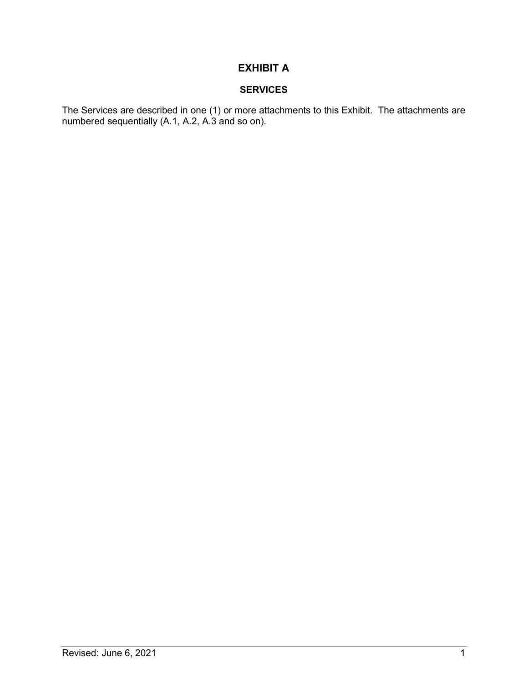## EXHIBIT A

## SERVICES

The Services are described in one (1) or more attachments to this Exhibit. The attachments are numbered sequentially (A.1, A.2, A.3 and so on).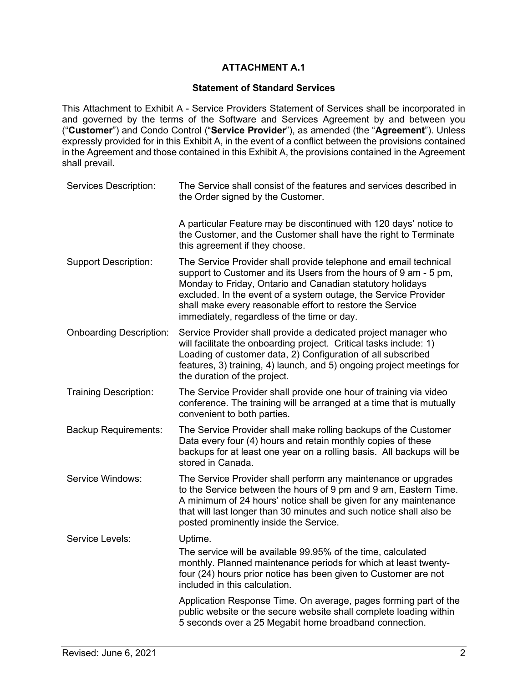## ATTACHMENT A.1

## Statement of Standard Services

This Attachment to Exhibit A - Service Providers Statement of Services shall be incorporated in and governed by the terms of the Software and Services Agreement by and between you ("Customer") and Condo Control ("Service Provider"), as amended (the "Agreement"). Unless expressly provided for in this Exhibit A, in the event of a conflict between the provisions contained in the Agreement and those contained in this Exhibit A, the provisions contained in the Agreement shall prevail.

| Services Description:          | The Service shall consist of the features and services described in<br>the Order signed by the Customer.                                                                                                                                                                                                                                                                         |
|--------------------------------|----------------------------------------------------------------------------------------------------------------------------------------------------------------------------------------------------------------------------------------------------------------------------------------------------------------------------------------------------------------------------------|
|                                | A particular Feature may be discontinued with 120 days' notice to<br>the Customer, and the Customer shall have the right to Terminate<br>this agreement if they choose.                                                                                                                                                                                                          |
| <b>Support Description:</b>    | The Service Provider shall provide telephone and email technical<br>support to Customer and its Users from the hours of 9 am - 5 pm,<br>Monday to Friday, Ontario and Canadian statutory holidays<br>excluded. In the event of a system outage, the Service Provider<br>shall make every reasonable effort to restore the Service<br>immediately, regardless of the time or day. |
| <b>Onboarding Description:</b> | Service Provider shall provide a dedicated project manager who<br>will facilitate the onboarding project. Critical tasks include: 1)<br>Loading of customer data, 2) Configuration of all subscribed<br>features, 3) training, 4) launch, and 5) ongoing project meetings for<br>the duration of the project.                                                                    |
| <b>Training Description:</b>   | The Service Provider shall provide one hour of training via video<br>conference. The training will be arranged at a time that is mutually<br>convenient to both parties.                                                                                                                                                                                                         |
| <b>Backup Requirements:</b>    | The Service Provider shall make rolling backups of the Customer<br>Data every four (4) hours and retain monthly copies of these<br>backups for at least one year on a rolling basis. All backups will be<br>stored in Canada.                                                                                                                                                    |
| Service Windows:               | The Service Provider shall perform any maintenance or upgrades<br>to the Service between the hours of 9 pm and 9 am, Eastern Time.<br>A minimum of 24 hours' notice shall be given for any maintenance<br>that will last longer than 30 minutes and such notice shall also be<br>posted prominently inside the Service.                                                          |
| Service Levels:                | Uptime.<br>The service will be available 99.95% of the time, calculated<br>monthly. Planned maintenance periods for which at least twenty-<br>four (24) hours prior notice has been given to Customer are not<br>included in this calculation.                                                                                                                                   |
|                                | Application Response Time. On average, pages forming part of the<br>public website or the secure website shall complete loading within<br>5 seconds over a 25 Megabit home broadband connection.                                                                                                                                                                                 |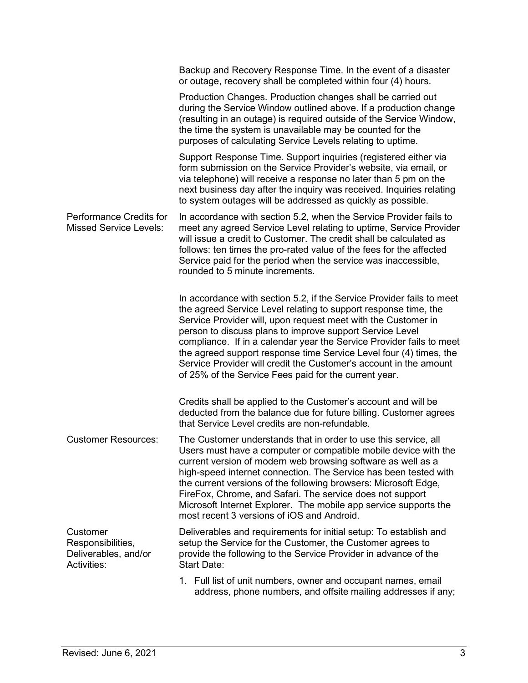|                                                                      | Backup and Recovery Response Time. In the event of a disaster<br>or outage, recovery shall be completed within four (4) hours.                                                                                                                                                                                                                                                                                                                                                                                                                    |
|----------------------------------------------------------------------|---------------------------------------------------------------------------------------------------------------------------------------------------------------------------------------------------------------------------------------------------------------------------------------------------------------------------------------------------------------------------------------------------------------------------------------------------------------------------------------------------------------------------------------------------|
|                                                                      | Production Changes. Production changes shall be carried out<br>during the Service Window outlined above. If a production change<br>(resulting in an outage) is required outside of the Service Window,<br>the time the system is unavailable may be counted for the<br>purposes of calculating Service Levels relating to uptime.                                                                                                                                                                                                                 |
|                                                                      | Support Response Time. Support inquiries (registered either via<br>form submission on the Service Provider's website, via email, or<br>via telephone) will receive a response no later than 5 pm on the<br>next business day after the inquiry was received. Inquiries relating<br>to system outages will be addressed as quickly as possible.                                                                                                                                                                                                    |
| <b>Performance Credits for</b><br><b>Missed Service Levels:</b>      | In accordance with section 5.2, when the Service Provider fails to<br>meet any agreed Service Level relating to uptime, Service Provider<br>will issue a credit to Customer. The credit shall be calculated as<br>follows: ten times the pro-rated value of the fees for the affected<br>Service paid for the period when the service was inaccessible,<br>rounded to 5 minute increments.                                                                                                                                                        |
|                                                                      | In accordance with section 5.2, if the Service Provider fails to meet<br>the agreed Service Level relating to support response time, the<br>Service Provider will, upon request meet with the Customer in<br>person to discuss plans to improve support Service Level<br>compliance. If in a calendar year the Service Provider fails to meet<br>the agreed support response time Service Level four (4) times, the<br>Service Provider will credit the Customer's account in the amount<br>of 25% of the Service Fees paid for the current year. |
|                                                                      | Credits shall be applied to the Customer's account and will be<br>deducted from the balance due for future billing. Customer agrees<br>that Service Level credits are non-refundable.                                                                                                                                                                                                                                                                                                                                                             |
| <b>Customer Resources:</b>                                           | The Customer understands that in order to use this service, all<br>Users must have a computer or compatible mobile device with the<br>current version of modern web browsing software as well as a<br>high-speed internet connection. The Service has been tested with<br>the current versions of the following browsers: Microsoft Edge,<br>FireFox, Chrome, and Safari. The service does not support<br>Microsoft Internet Explorer. The mobile app service supports the<br>most recent 3 versions of iOS and Android.                          |
| Customer<br>Responsibilities,<br>Deliverables, and/or<br>Activities: | Deliverables and requirements for initial setup: To establish and<br>setup the Service for the Customer, the Customer agrees to<br>provide the following to the Service Provider in advance of the<br><b>Start Date:</b>                                                                                                                                                                                                                                                                                                                          |
|                                                                      | 1. Full list of unit numbers, owner and occupant names, email<br>address, phone numbers, and offsite mailing addresses if any;                                                                                                                                                                                                                                                                                                                                                                                                                    |